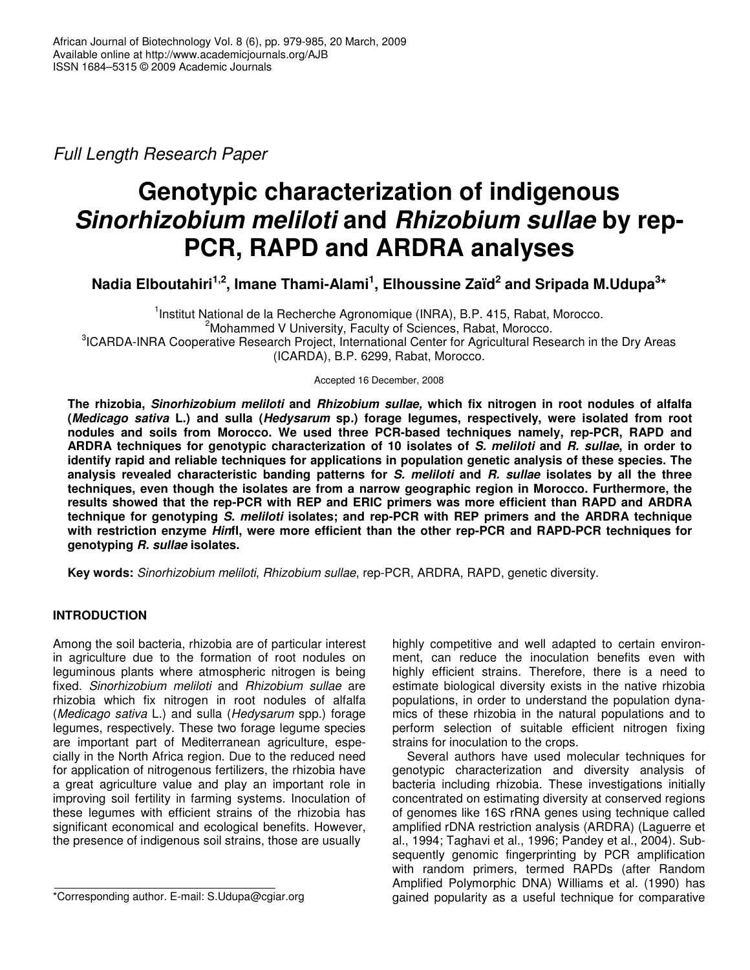*Full Length Research Paper*

# **Genotypic characterization of indigenous** *Sinorhizobium meliloti* **and** *Rhizobium sullae* **by rep-PCR, RAPD and ARDRA analyses**

**Nadia Elboutahiri 1,2 , Imane Thami-Alami 1 , Elhoussine Zaïd 2 and Sripada M.Udupa 3 \***

<sup>1</sup>Institut National de la Recherche Agronomique (INRA), B.P. 415, Rabat, Morocco. <sup>2</sup>Mohammed V University, Faculty of Sciences, Rabat, Morocco. <sup>3</sup>ICARDA-INRA Cooperative Research Project, International Center for Agricultural Research in the Dry Areas (ICARDA), B.P. 6299, Rabat, Morocco.

Accepted 16 December, 2008

**The rhizobia,** *Sinorhizobium meliloti* **and** *Rhizobium sullae,* **which fix nitrogen in root nodules of alfalfa** (Medicago sativa L.) and sulla (Hedysarum sp.) forage legumes, respectively, were isolated from root **nodules and soils from Morocco. We used three PCR-based techniques namely, rep-PCR, RAPD and** ARDRA techniques for genotypic characterization of 10 isolates of S. meliloti and R. sullae, in order to **identify rapid and reliable techniques for applications in population genetic analysis of these species. The analysis revealed characteristic banding patterns for** *S. meliloti* **and** *R. sullae* **isolates by all the three techniques, even though the isolates are from a narrow geographic region in Morocco. Furthermore, the results showed that the rep-PCR with REP and ERIC primers was more efficient than RAPD and ARDRA technique for genotyping** *S. meliloti* **isolates; and rep-PCR with REP primers and the ARDRA technique with restriction enzyme** *Hin***fI, were more efficient than the other rep-PCR and RAPD-PCR techniques for genotyping** *R. sullae* **isolates.**

**Key words:** *Sinorhizobium meliloti*, *Rhizobium sullae*, rep-PCR, ARDRA, RAPD, genetic diversity.

## **INTRODUCTION**

Among the soil bacteria, rhizobia are of particular interest in agriculture due to the formation of root nodules on leguminous plants where atmospheric nitrogen is being fixed. *Sinorhizobium meliloti* and *Rhizobium sullae* are rhizobia which fix nitrogen in root nodules of alfalfa (*Medicago sativa* L.) and sulla (*Hedysarum* spp*.*) forage legumes, respectively. These two forage legume species are important part of Mediterranean agriculture, especially in the North Africa region. Due to the reduced need for application of nitrogenous fertilizers, the rhizobia have a great agriculture value and play an important role in improving soil fertility in farming systems. Inoculation of these legumes with efficient strains of the rhizobia has significant economical and ecological benefits. However, the presence of indigenous soil strains, those are usually

\*Corresponding author. E-mail: S.Udupa@cgiar.org

highly competitive and well adapted to certain environment, can reduce the inoculation benefits even with highly efficient strains. Therefore, there is a need to estimate biological diversity exists in the native rhizobia populations, in order to understand the population dynamics of these rhizobia in the natural populations and to perform selection of suitable efficient nitrogen fixing strains for inoculation to the crops.

Several authors have used molecular techniques for genotypic characterization and diversity analysis of bacteria including rhizobia. These investigations initially concentrated on estimating diversity at conserved regions of genomes like 16S rRNA genes using technique called amplified rDNA restriction analysis (ARDRA) (Laguerre et al., 1994; Taghavi et al., 1996; Pandey et al., 2004). Subsequently genomic fingerprinting by PCR amplification with random primers, termed RAPDs (after Random Amplified Polymorphic DNA) Williams et al. (1990) has gained popularity as a useful technique for comparative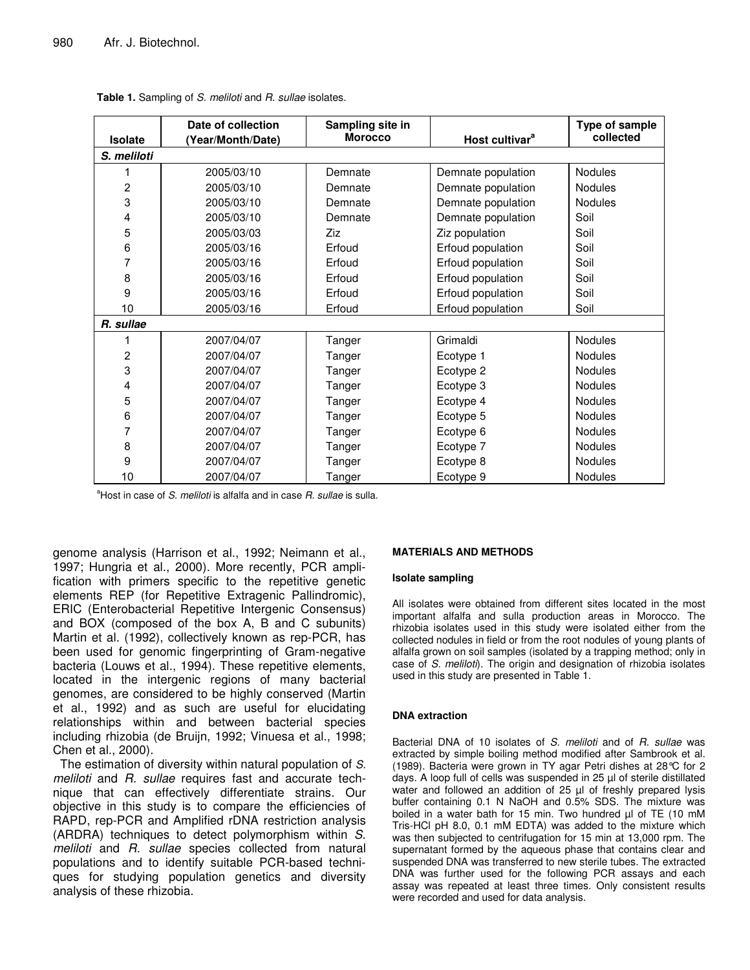|                | Date of collection | Sampling site in |                            | Type of sample |  |  |  |  |
|----------------|--------------------|------------------|----------------------------|----------------|--|--|--|--|
| <b>Isolate</b> | (Year/Month/Date)  | <b>Morocco</b>   | Host cultivar <sup>a</sup> | collected      |  |  |  |  |
| S. meliloti    |                    |                  |                            |                |  |  |  |  |
| 1              | 2005/03/10         | Demnate          | Demnate population         | <b>Nodules</b> |  |  |  |  |
| $\overline{c}$ | 2005/03/10         | Demnate          | Demnate population         | <b>Nodules</b> |  |  |  |  |
| 3              | 2005/03/10         | Demnate          | Demnate population         | <b>Nodules</b> |  |  |  |  |
| 4              | 2005/03/10         | Demnate          | Demnate population         | Soil           |  |  |  |  |
| 5              | 2005/03/03         | Ziz              | Ziz population             | Soil           |  |  |  |  |
| 6              | 2005/03/16         | Erfoud           | Erfoud population          | Soil           |  |  |  |  |
| 7              | 2005/03/16         | Erfoud           | Erfoud population          | Soil           |  |  |  |  |
| 8              | 2005/03/16         | Erfoud           | Erfoud population          | Soil           |  |  |  |  |
| 9              | 2005/03/16         | Erfoud           | Erfoud population          | Soil           |  |  |  |  |
| 10             | 2005/03/16         | Erfoud           | Erfoud population          | Soil           |  |  |  |  |
| R. sullae      |                    |                  |                            |                |  |  |  |  |
| 1              | 2007/04/07         | Tanger           | Grimaldi                   | Nodules        |  |  |  |  |
| $\overline{c}$ | 2007/04/07         | Tanger           | Ecotype 1                  | Nodules        |  |  |  |  |
| 3              | 2007/04/07         | Tanger           | Ecotype 2                  | Nodules        |  |  |  |  |
| 4              | 2007/04/07         | Tanger           | Ecotype 3                  | <b>Nodules</b> |  |  |  |  |
| 5              | 2007/04/07         | Tanger           | Ecotype 4                  | Nodules        |  |  |  |  |
| 6              | 2007/04/07         | Tanger           | Ecotype 5                  | Nodules        |  |  |  |  |
| 7              | 2007/04/07         | Tanger           | Ecotype 6                  | Nodules        |  |  |  |  |
| 8              | 2007/04/07         | Tanger           | Ecotype 7                  | Nodules        |  |  |  |  |
| 9              | 2007/04/07         | Tanger           | Ecotype 8                  | Nodules        |  |  |  |  |
| 10             | 2007/04/07         | Tanger           | Ecotype 9                  | Nodules        |  |  |  |  |

**Table 1.** Sampling of *S. meliloti* and *R. sullae* isolates.

<sup>a</sup>Host in case of *S. meliloti* is alfalfa and in case *R. sullae* is sulla.

genome analysis (Harrison et al., 1992; Neimann et al., 1997; Hungria et al., 2000). More recently, PCR amplification with primers specific to the repetitive genetic elements REP (for Repetitive Extragenic Pallindromic), ERIC (Enterobacterial Repetitive Intergenic Consensus) and BOX (composed of the box A, B and C subunits) Martin et al. (1992), collectively known as rep-PCR, has been used for genomic fingerprinting of Gram-negative bacteria (Louws et al., 1994). These repetitive elements, located in the intergenic regions of many bacterial genomes, are considered to be highly conserved (Martin et al., 1992) and as such are useful for elucidating relationships within and between bacterial species including rhizobia (de Bruijn, 1992; Vinuesa et al., 1998; Chen et al., 2000).

The estimation of diversity within natural population of *S. meliloti* and *R. sullae* requires fast and accurate technique that can effectively differentiate strains. Our objective in this study is to compare the efficiencies of RAPD, rep-PCR and Amplified rDNA restriction analysis (ARDRA) techniques to detect polymorphism within *S. meliloti* and *R. sullae* species collected from natural populations and to identify suitable PCR-based techniques for studying population genetics and diversity analysis of these rhizobia.

### **MATERIALS AND METHODS**

#### **Isolate sampling**

All isolates were obtained from different sites located in the most important alfalfa and sulla production areas in Morocco. The rhizobia isolates used in this study were isolated either from the collected nodules in field or from the root nodules of young plants of alfalfa grown on soil samples (isolated by a trapping method; only in case of *S. meliloti*). The origin and designation of rhizobia isolates used in this study are presented in Table 1.

#### **DNA extraction**

Bacterial DNA of 10 isolates of *S. meliloti* and of *R. sullae* was extracted by simple boiling method modified after Sambrook et al. (1989). Bacteria were grown in TY agar Petri dishes at 28°C for 2 days. A loop full of cells was suspended in 25 µl of sterile distillated water and followed an addition of 25 µl of freshly prepared lysis buffer containing 0.1 N NaOH and 0.5% SDS. The mixture was boiled in a water bath for 15 min. Two hundred µl of TE (10 mM Tris-HCl pH 8.0, 0.1 mM EDTA) was added to the mixture which was then subjected to centrifugation for 15 min at 13,000 rpm. The supernatant formed by the aqueous phase that contains clear and suspended DNA was transferred to new sterile tubes. The extracted DNA was further used for the following PCR assays and each assay was repeated at least three times. Only consistent results were recorded and used for data analysis.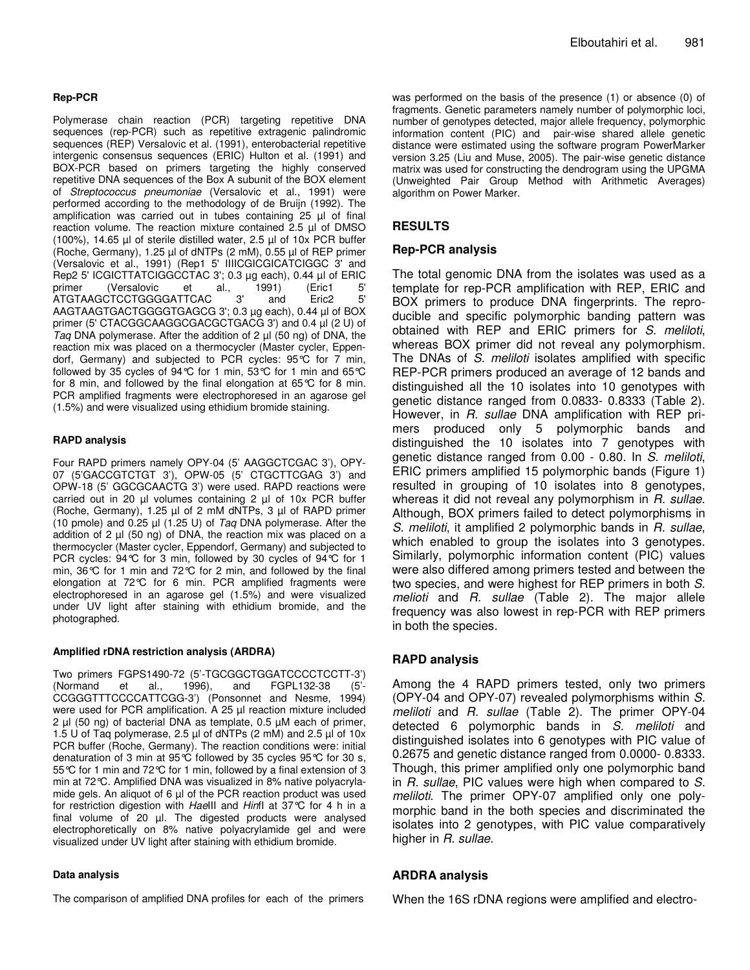#### **Rep-PCR**

Polymerase chain reaction (PCR) targeting repetitive DNA sequences (rep-PCR) such as repetitive extragenic palindromic sequences (REP) Versalovic et al. (1991), enterobacterial repetitive intergenic consensus sequences (ERIC) Hulton et al. (1991) and BOX-PCR based on primers targeting the highly conserved repetitive DNA sequences of the Box A subunit of the BOX element of *Streptococcus pneumoniae* (Versalovic et al., 1991) were performed according to the methodology of de Bruijn (1992). The amplification was carried out in tubes containing 25 µl of final reaction volume. The reaction mixture contained 2.5 µl of DMSO (100%), 14.65 µl of sterile distilled water, 2.5 µl of 10x PCR buffer (Roche, Germany), 1.25 µl of dNTPs (2 mM), 0.55 µl of REP primer (Versalovic et al., 1991) (Rep1 5' IIIICGICGICATCIGGC 3' and Rep2 5' ICGICTTATCIGGCCTAC 3'; 0.3 µg each), 0.44 µl of ERIC primer (Versalovic et al., 1991) (Eric1 5' ATGTAAGCTCCTGGGGATTCAC 3' and Eric2 5' AAGTAAGTGACTGGGGTGAGCG 3'; 0.3 µg each), 0.44 µl of BOX primer (5' CTACGGCAAGGCGACGCTGACG 3') and 0.4 µl (2 U) of *Taq* DNA polymerase. After the addition of 2 µl (50 ng) of DNA, the reaction mix was placed on a thermocycler (Master cycler, Eppendorf, Germany) and subjected to PCR cycles: 95°C for 7 min, followed by 35 cycles of 94°C for 1 min, 53°C for 1 min and 65°C for 8 min, and followed by the final elongation at 65°C for 8 min. PCR amplified fragments were electrophoresed in an agarose gel (1.5%) and were visualized using ethidium bromide staining.

#### **RAPD analysis**

Four RAPD primers namely OPY-04 (5' AAGGCTCGAC 3'), OPY-07 (5'GACCGTCTGT 3'), OPW-05 (5' CTGCTTCGAG 3') and OPW-18 (5' GGCGCAACTG 3') were used. RAPD reactions were carried out in 20 µl volumes containing 2 µl of 10x PCR buffer (Roche, Germany), 1.25 µl of 2 mM dNTPs, 3 µl of RAPD primer (10 pmole) and 0.25 µl (1.25 U) of *Taq* DNA polymerase. After the addition of 2  $\mu$  (50 ng) of DNA, the reaction mix was placed on a thermocycler (Master cycler, Eppendorf, Germany) and subjected to PCR cycles: 94°C for 3 min, followed by 30 cycles of 94°C for 1 min, 36°C for 1 min and 72°C for 2 min, and followed by the final elongation at 72°C for 6 min. PCR amplified fragments were electrophoresed in an agarose gel (1.5%) and were visualized under UV light after staining with ethidium bromide, and the photographed.

#### **Amplified rDNA restriction analysis (ARDRA)**

Two primers FGPS1490-72 (5'-TGCGGCTGGATCCCCTCCTT-3') (Normand et al., 1996), and FGPL132-38 (5'- CCGGGTTTCCCCATTCGG-3') (Ponsonnet and Nesme, 1994) were used for PCR amplification. A 25 µl reaction mixture included 2 µl (50 ng) of bacterial DNA as template, 0.5 µM each of primer, 1.5 U of Taq polymerase, 2.5 µl of dNTPs (2 mM) and 2.5 µl of 10x PCR buffer (Roche, Germany). The reaction conditions were: initial denaturation of 3 min at 95°C followed by 35 cycles 95°C for 30 s, 55°C for 1 min and 72°C for 1 min, followed by a final extension of 3 min at 72°C. Amplified DNA was visualized in 8% native polyacrylamide gels. An aliquot of 6 µl of the PCR reaction product was used for restriction digestion with *Hae*III and *Hin*fI at 37°C for 4 h in a final volume of 20 µl. The digested products were analysed electrophoretically on 8% native polyacrylamide gel and were visualized under UV light after staining with ethidium bromide.

#### **Data analysis**

The comparison of amplified DNA profiles for each of the primers

was performed on the basis of the presence (1) or absence (0) of fragments. Genetic parameters namely number of polymorphic loci, number of genotypes detected, major allele frequency, polymorphic information content (PIC) and pair-wise shared allele genetic distance were estimated using the software program PowerMarker version 3.25 (Liu and Muse, 2005). The pair-wise genetic distance matrix was used for constructing the dendrogram using the UPGMA (Unweighted Pair Group Method with Arithmetic Averages) algorithm on Power Marker.

## **RESULTS**

## **Rep-PCR analysis**

The total genomic DNA from the isolates was used as a template for rep-PCR amplification with REP, ERIC and BOX primers to produce DNA fingerprints. The reproducible and specific polymorphic banding pattern was obtained with REP and ERIC primers for *S. meliloti*, whereas BOX primer did not reveal any polymorphism. The DNAs of *S. meliloti* isolates amplified with specific REP-PCR primers produced an average of 12 bands and distinguished all the 10 isolates into 10 genotypes with genetic distance ranged from 0.0833- 0.8333 (Table 2). However, in *R. sullae* DNA amplification with REP primers produced only 5 polymorphic bands and distinguished the 10 isolates into 7 genotypes with genetic distance ranged from 0.00 - 0.80. In *S. meliloti*, ERIC primers amplified 15 polymorphic bands (Figure 1) resulted in grouping of 10 isolates into 8 genotypes, whereas it did not reveal any polymorphism in *R. sullae.* Although, BOX primers failed to detect polymorphisms in *S. meliloti*, it amplified 2 polymorphic bands in *R. sullae*, which enabled to group the isolates into 3 genotypes. Similarly, polymorphic information content (PIC) values were also differed among primers tested and between the two species, and were highest for REP primers in both *S. melioti* and *R. sullae* (Table 2)*.* The major allele frequency was also lowest in rep-PCR with REP primers in both the species.

## **RAPD analysis**

Among the 4 RAPD primers tested, only two primers (OPY-04 and OPY-07) revealed polymorphisms within *S. meliloti* and *R. sullae* (Table 2). The primer OPY-04 detected 6 polymorphic bands in *S. meliloti* and distinguished isolates into 6 genotypes with PIC value of 0.2675 and genetic distance ranged from 0.0000- 0.8333. Though, this primer amplified only one polymorphic band in *R. sullae*, PIC values were high when compared to *S. meliloti*. The primer OPY-07 amplified only one polymorphic band in the both species and discriminated the isolates into 2 genotypes, with PIC value comparatively higher in *R. sullae.*

## **ARDRA analysis**

When the 16S rDNA regions were amplified and electro-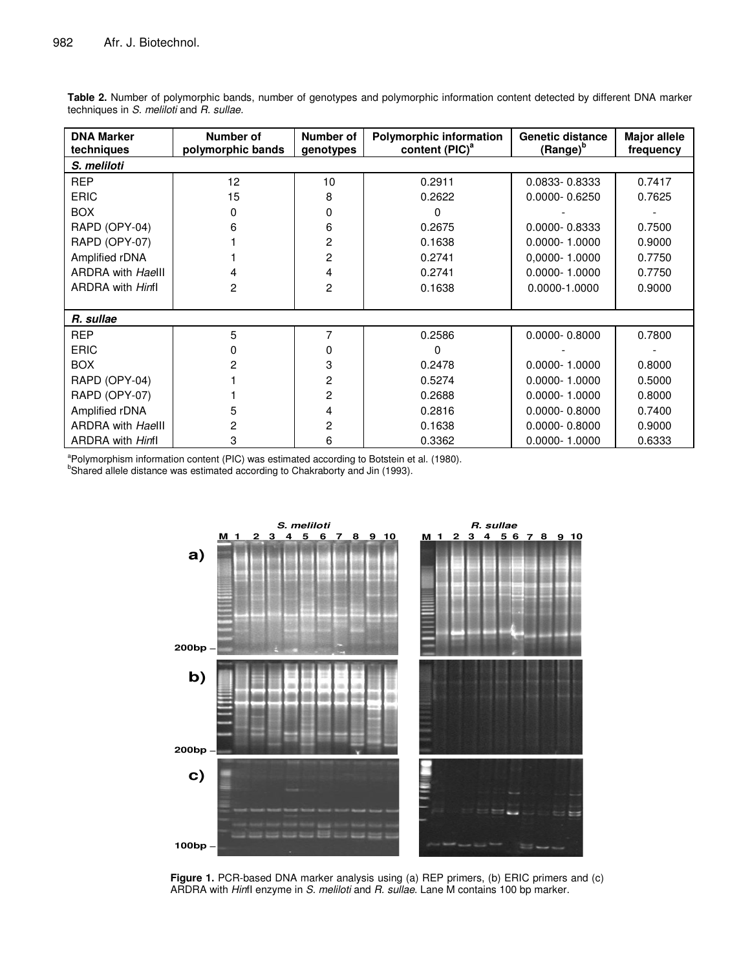| <b>DNA Marker</b><br>techniques | Number of<br>polymorphic bands | Number of<br>genotypes | <b>Polymorphic information</b><br>content (PIC) <sup>a</sup> | <b>Genetic distance</b><br>(Range) <sup>b</sup> | <b>Major allele</b><br>frequency |  |  |  |  |
|---------------------------------|--------------------------------|------------------------|--------------------------------------------------------------|-------------------------------------------------|----------------------------------|--|--|--|--|
| S. meliloti                     |                                |                        |                                                              |                                                 |                                  |  |  |  |  |
| <b>REP</b>                      | 12                             | 10                     | 0.2911                                                       | 0.0833-0.8333                                   | 0.7417                           |  |  |  |  |
| <b>ERIC</b>                     | 15                             | 8                      | 0.2622                                                       | $0.0000 - 0.6250$                               | 0.7625                           |  |  |  |  |
| <b>BOX</b>                      | 0                              | 0                      | 0                                                            |                                                 |                                  |  |  |  |  |
| RAPD (OPY-04)                   | 6                              | 6                      | 0.2675                                                       | 0.0000-0.8333                                   | 0.7500                           |  |  |  |  |
| RAPD (OPY-07)                   |                                | 2                      | 0.1638                                                       | $0.0000 - 1.0000$                               | 0.9000                           |  |  |  |  |
| Amplified rDNA                  |                                | 2                      | 0.2741                                                       | 0,0000-1.0000                                   | 0.7750                           |  |  |  |  |
| <b>ARDRA with Haelll</b>        | 4                              | 4                      | 0.2741                                                       | $0.0000 - 1.0000$                               | 0.7750                           |  |  |  |  |
| <b>ARDRA</b> with <i>Hinfl</i>  | 2                              | 2                      | 0.1638                                                       | 0.0000-1.0000                                   | 0.9000                           |  |  |  |  |
|                                 |                                |                        |                                                              |                                                 |                                  |  |  |  |  |
| R. sullae                       |                                |                        |                                                              |                                                 |                                  |  |  |  |  |
| <b>REP</b>                      | 5                              | 7                      | 0.2586                                                       | $0.0000 - 0.8000$                               | 0.7800                           |  |  |  |  |
| <b>ERIC</b>                     | 0                              | 0                      | 0                                                            |                                                 |                                  |  |  |  |  |
| <b>BOX</b>                      | 2                              | 3                      | 0.2478                                                       | $0.0000 - 1.0000$                               | 0.8000                           |  |  |  |  |
| RAPD (OPY-04)                   |                                | 2                      | 0.5274                                                       | $0.0000 - 1.0000$                               | 0.5000                           |  |  |  |  |
| RAPD (OPY-07)                   |                                | 2                      | 0.2688                                                       | $0.0000 - 1.0000$                               | 0.8000                           |  |  |  |  |
| Amplified rDNA                  | 5                              | 4                      | 0.2816                                                       | $0.0000 - 0.8000$                               | 0.7400                           |  |  |  |  |
| <b>ARDRA with Haelll</b>        | 2                              | 2                      | 0.1638                                                       | $0.0000 - 0.8000$                               | 0.9000                           |  |  |  |  |
| ARDRA with <i>Hinfl</i>         | 3                              | 6                      | 0.3362                                                       | $0.0000 - 1.0000$                               | 0.6333                           |  |  |  |  |

**Table 2.** Number of polymorphic bands, number of genotypes and polymorphic information content detected by different DNA marker techniques in *S. meliloti* and *R. sullae.*

<sup>a</sup>Polymorphism information content (PIC) was estimated according to Botstein et al. (1980).

<sup>b</sup>Shared allele distance was estimated according to Chakraborty and Jin (1993).



**Figure 1.** PCR-based DNA marker analysis using (a) REP primers, (b) ERIC primers and (c) ARDRA with *Hin*fI enzyme in *S. meliloti* and *R. sullae*. Lane M contains 100 bp marker.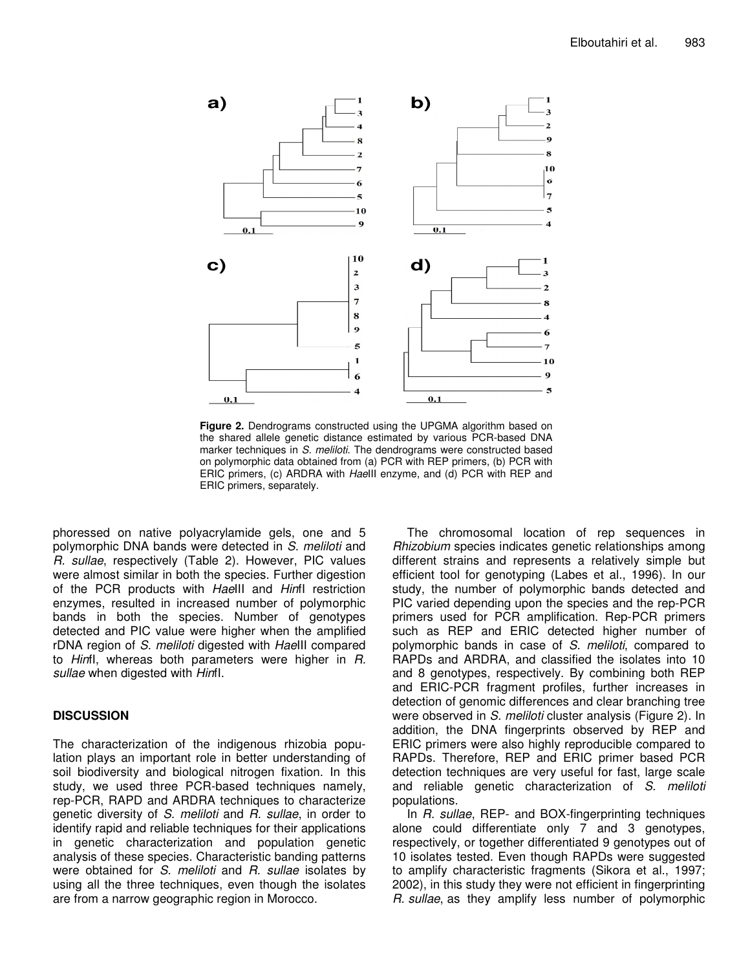

**Figure 2.** Dendrograms constructed using the UPGMA algorithm based on the shared allele genetic distance estimated by various PCR-based DNA marker techniques in *S. meliloti*. The dendrograms were constructed based on polymorphic data obtained from (a) PCR with REP primers, (b) PCR with ERIC primers, (c) ARDRA with *Hae*III enzyme, and (d) PCR with REP and ERIC primers, separately.

phoressed on native polyacrylamide gels, one and 5 polymorphic DNA bands were detected in *S. meliloti* and *R. sullae*, respectively (Table 2). However, PIC values were almost similar in both the species. Further digestion of the PCR products with *Hae*III and *Hin*fI restriction enzymes, resulted in increased number of polymorphic bands in both the species. Number of genotypes detected and PIC value were higher when the amplified rDNA region of *S. meliloti* digested with *Hae*III compared to *Hin*fI, whereas both parameters were higher in *R. sullae* when digested with *Hin*fI.

## **DISCUSSION**

The characterization of the indigenous rhizobia population plays an important role in better understanding of soil biodiversity and biological nitrogen fixation. In this study, we used three PCR-based techniques namely, rep-PCR, RAPD and ARDRA techniques to characterize genetic diversity of *S. meliloti* and *R. sullae*, in order to identify rapid and reliable techniques for their applications in genetic characterization and population genetic analysis of these species. Characteristic banding patterns were obtained for *S. meliloti* and *R. sullae* isolates by using all the three techniques, even though the isolates are from a narrow geographic region in Morocco.

The chromosomal location of rep sequences in *Rhizobium* species indicates genetic relationships among different strains and represents a relatively simple but efficient tool for genotyping (Labes et al., 1996). In our study, the number of polymorphic bands detected and PIC varied depending upon the species and the rep-PCR primers used for PCR amplification. Rep-PCR primers such as REP and ERIC detected higher number of polymorphic bands in case of *S. meliloti*, compared to RAPDs and ARDRA, and classified the isolates into 10 and 8 genotypes, respectively. By combining both REP and ERIC-PCR fragment profiles, further increases in detection of genomic differences and clear branching tree were observed in *S. meliloti* cluster analysis (Figure 2). In addition, the DNA fingerprints observed by REP and ERIC primers were also highly reproducible compared to RAPDs. Therefore, REP and ERIC primer based PCR detection techniques are very useful for fast, large scale and reliable genetic characterization of *S. meliloti* populations.

In *R. sullae*, REP- and BOX-fingerprinting techniques alone could differentiate only 7 and 3 genotypes, respectively, or together differentiated 9 genotypes out of 10 isolates tested. Even though RAPDs were suggested to amplify characteristic fragments (Sikora et al., 1997; 2002), in this study they were not efficient in fingerprinting *R. sullae*, as they amplify less number of polymorphic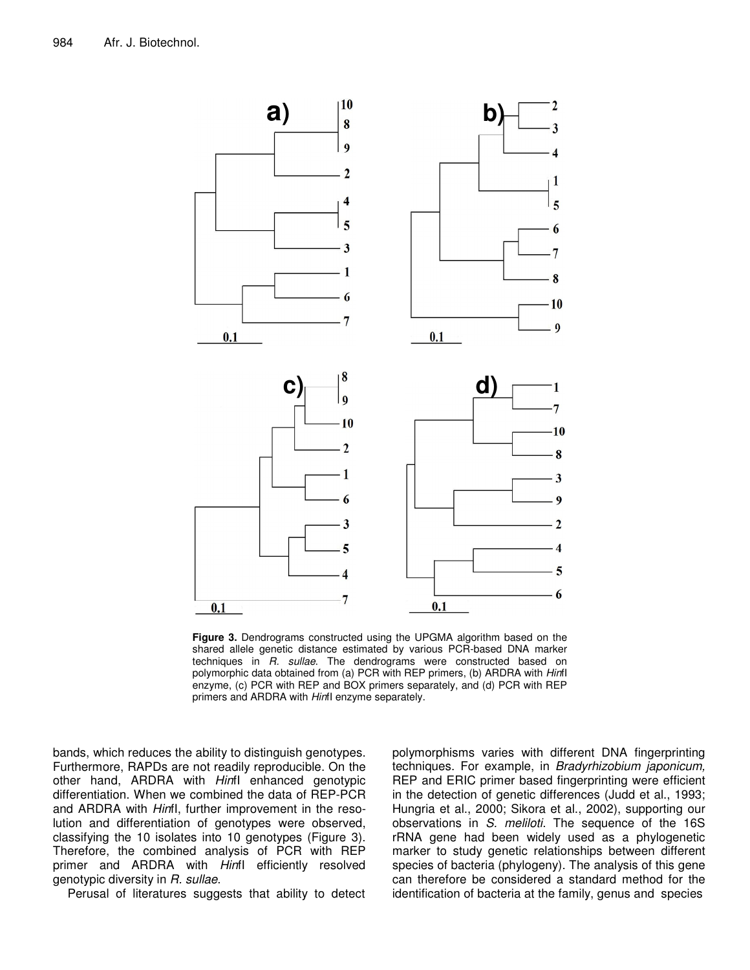

**Figure 3.** Dendrograms constructed using the UPGMA algorithm based on the shared allele genetic distance estimated by various PCR-based DNA marker techniques in *R. sullae*. The dendrograms were constructed based on polymorphic data obtained from (a) PCR with REP primers, (b) ARDRA with *Hin*fI enzyme, (c) PCR with REP and BOX primers separately, and (d) PCR with REP primers and ARDRA with *Hin*fI enzyme separately.

bands, which reduces the ability to distinguish genotypes. Furthermore, RAPDs are not readily reproducible. On the other hand, ARDRA with *Hin*fI enhanced genotypic differentiation. When we combined the data of REP-PCR and ARDRA with *Hin*fI, further improvement in the resolution and differentiation of genotypes were observed, classifying the 10 isolates into 10 genotypes (Figure 3). Therefore, the combined analysis of PCR with REP primer and ARDRA with *Hin*fI efficiently resolved genotypic diversity in *R. sullae*.

Perusal of literatures suggests that ability to detect

polymorphisms varies with different DNA fingerprinting techniques. For example, in *Bradyrhizobium japonicum,* REP and ERIC primer based fingerprinting were efficient in the detection of genetic differences (Judd et al., 1993; Hungria et al., 2000; Sikora et al., 2002), supporting our observations in *S. meliloti*. The sequence of the 16S rRNA gene had been widely used as a phylogenetic marker to study genetic relationships between different species of bacteria (phylogeny). The analysis of this gene can therefore be considered a standard method for the identification of bacteria at the family, genus and species